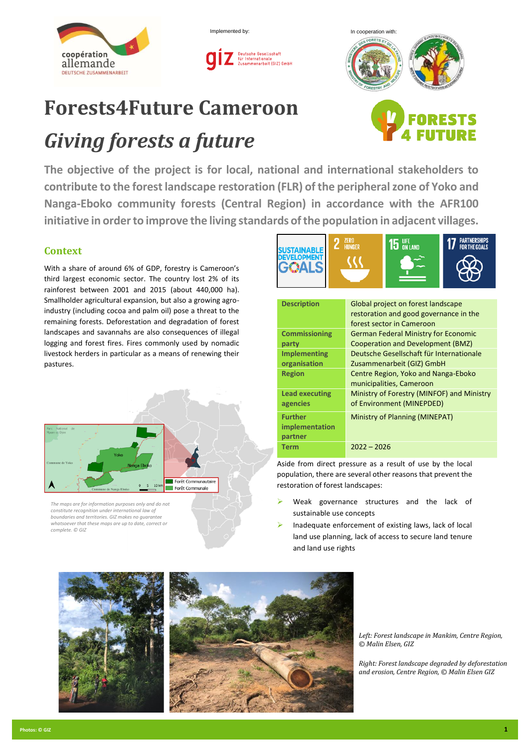



# **Forests4Future Cameroon**

# *Giving forests a future*



**The objective of the project is for local, national and international stakeholders to contribute to the forest landscape restoration (FLR) of the peripheral zone of Yoko and Nanga-Eboko community forests (Central Region) in accordance with the AFR100 initiative in order to improve the living standards of the population in adjacent villages.**

## **Context**

With a share of around 6% of GDP, forestry is Cameroon's third largest economic sector. The country lost 2% of its rainforest between 2001 and 2015 (about 440,000 ha). Smallholder agricultural expansion, but also a growing agroindustry (including cocoa and palm oil) pose a threat to the remaining forests. Deforestation and degradation of forest landscapes and savannahs are also consequences of illegal logging and forest fires. Fires commonly used by nomadic livestock herders in particular as a means of renewing their pastures.



*The maps are for information purposes only and do not constitute recognition under international law of boundaries and territories. GIZ makes no guarantee whatsoever that these maps are up to date, correct or complete. © GIZ*



| <b>Description</b>                          | Global project on forest landscape<br>restoration and good governance in the<br>forest sector in Cameroon |  |
|---------------------------------------------|-----------------------------------------------------------------------------------------------------------|--|
| <b>Commissioning</b>                        | <b>German Federal Ministry for Economic</b>                                                               |  |
| party                                       | Cooperation and Development (BMZ)                                                                         |  |
| <b>Implementing</b>                         | Deutsche Gesellschaft für Internationale                                                                  |  |
| organisation                                | Zusammenarbeit (GIZ) GmbH                                                                                 |  |
| <b>Region</b>                               | Centre Region, Yoko and Nanga-Eboko<br>municipalities, Cameroon                                           |  |
| <b>Lead executing</b><br>agencies           | Ministry of Forestry (MINFOF) and Ministry<br>of Environment (MINEPDED)                                   |  |
| <b>Further</b><br>implementation<br>partner | Ministry of Planning (MINEPAT)                                                                            |  |
| <b>Term</b>                                 | $2022 - 2026$                                                                                             |  |

Aside from direct pressure as a result of use by the local population, there are several other reasons that prevent the restoration of forest landscapes:

- Weak governance structures and the lack of sustainable use concepts
- ➢ Inadequate enforcement of existing laws, lack of local land use planning, lack of access to secure land tenure and land use rights



*Left: Forest landscape in Mankim, Centre Region, © Malin Elsen, GIZ* 

*Right: Forest landscape degraded by deforestation and erosion, Centre Region, © Malin Elsen GIZ*